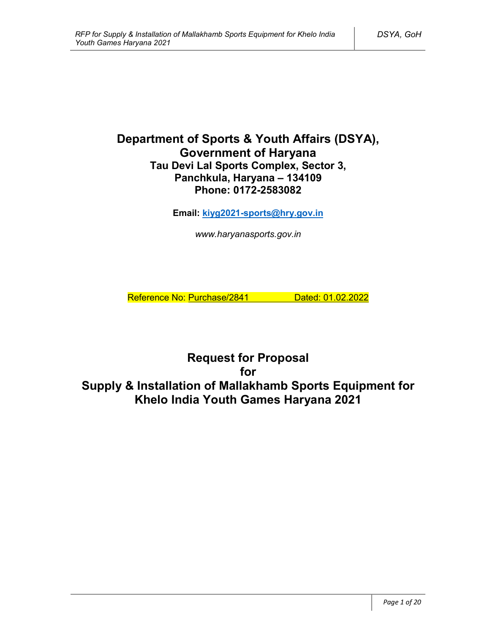# **Department of Sports & Youth Affairs (DSYA), Government of Haryana Tau Devi Lal Sports Complex, Sector 3, Panchkula, Haryana – 134109 Phone: 0172-2583082**

**Email: kiyg2021-sports@hry.gov.in**

*www.haryanasports.gov.in*

Reference No: Purchase/2841 Dated: 01.02.2022

**Request for Proposal for Supply & Installation of Mallakhamb Sports Equipment for Khelo India Youth Games Haryana 2021**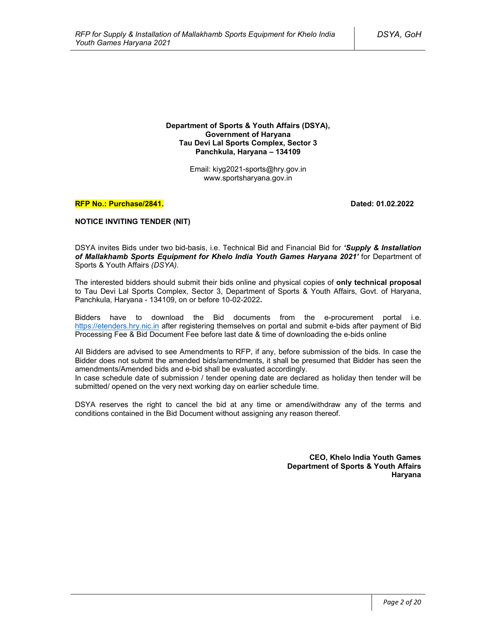**Department of Sports & Youth Affairs (DSYA), Government of Haryana Tau Devi Lal Sports Complex, Sector 3 Panchkula, Haryana – 134109**

> Email: kiyg2021-sports@hry.gov.in www.sportsharyana.gov.in

#### **RFP No.: Purchase/2841. Dated: 01.02.2022**

#### **NOTICE INVITING TENDER (NIT)**

DSYA invites Bids under two bid-basis, i.e. Technical Bid and Financial Bid for *'Supply & Installation of Mallakhamb Sports Equipment for Khelo India Youth Games Haryana 2021'* for Department of Sports & Youth Affairs *(DSYA)*.

The interested bidders should submit their bids online and physical copies of **only technical proposal** to Tau Devi Lal Sports Complex, Sector 3, Department of Sports & Youth Affairs, Govt. of Haryana, Panchkula, Haryana - 134109, on or before 10-02-2022**.**

Bidders have to download the Bid documents from the e-procurement portal i.e. https://etenders.hry.nic.in after registering themselves on portal and submit e-bids after payment of Bid Processing Fee & Bid Document Fee before last date & time of downloading the e-bids online

All Bidders are advised to see Amendments to RFP, if any, before submission of the bids. In case the Bidder does not submit the amended bids/amendments, it shall be presumed that Bidder has seen the amendments/Amended bids and e-bid shall be evaluated accordingly.

In case schedule date of submission / tender opening date are declared as holiday then tender will be submitted/ opened on the very next working day on earlier schedule time.

DSYA reserves the right to cancel the bid at any time or amend/withdraw any of the terms and conditions contained in the Bid Document without assigning any reason thereof.

> **CEO, Khelo India Youth Games Department of Sports & Youth Affairs Haryana**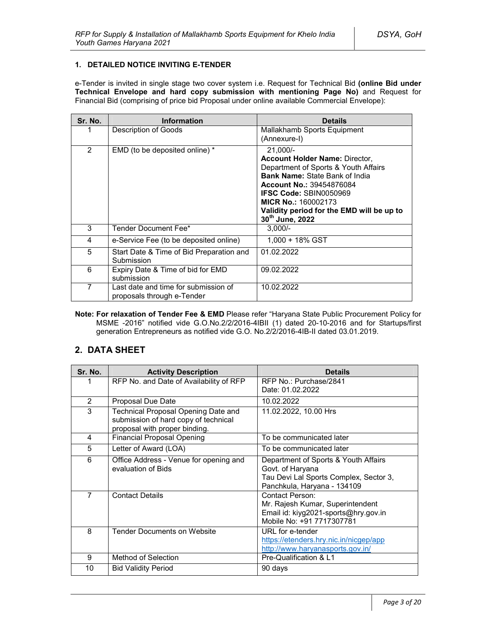### **1. DETAILED NOTICE INVITING E-TENDER**

e-Tender is invited in single stage two cover system i.e. Request for Technical Bid **(online Bid under Technical Envelope and hard copy submission with mentioning Page No)** and Request for Financial Bid (comprising of price bid Proposal under online available Commercial Envelope):

| Sr. No. | <b>Information</b>                                                 | <b>Details</b>                                                                                                                                                                                                                                                                                         |
|---------|--------------------------------------------------------------------|--------------------------------------------------------------------------------------------------------------------------------------------------------------------------------------------------------------------------------------------------------------------------------------------------------|
|         | Description of Goods                                               | Mallakhamb Sports Equipment<br>(Annexure-I)                                                                                                                                                                                                                                                            |
| 2       | EMD (to be deposited online) *                                     | $21,000/-$<br><b>Account Holder Name: Director,</b><br>Department of Sports & Youth Affairs<br><b>Bank Name: State Bank of India</b><br><b>Account No.: 39454876084</b><br><b>IFSC Code: SBIN0050969</b><br><b>MICR No.: 160002173</b><br>Validity period for the EMD will be up to<br>30th June, 2022 |
| 3       | Tender Document Fee*                                               | $3.000/-$                                                                                                                                                                                                                                                                                              |
| 4       | e-Service Fee (to be deposited online)                             | 1.000 + 18% GST                                                                                                                                                                                                                                                                                        |
| 5       | Start Date & Time of Bid Preparation and<br>Submission             | 01.02.2022                                                                                                                                                                                                                                                                                             |
| 6       | Expiry Date & Time of bid for EMD<br>submission                    | 09.02.2022                                                                                                                                                                                                                                                                                             |
| 7       | Last date and time for submission of<br>proposals through e-Tender | 10.02.2022                                                                                                                                                                                                                                                                                             |

**Note: For relaxation of Tender Fee & EMD** Please refer "Haryana State Public Procurement Policy for MSME -2016" notified vide G.O.No.2/2/2016-4IBII (1) dated 20-10-2016 and for Startups/first generation Entrepreneurs as notified vide G.O. No.2/2/2016-4IB-II dated 03.01.2019.

# **2. DATA SHEET**

| Sr. No.        | <b>Activity Description</b>                                                                                  | <b>Details</b>                                                                                                                    |
|----------------|--------------------------------------------------------------------------------------------------------------|-----------------------------------------------------------------------------------------------------------------------------------|
| 1              | RFP No. and Date of Availability of RFP                                                                      | RFP No.: Purchase/2841<br>Date: 01.02.2022                                                                                        |
| $\overline{2}$ | Proposal Due Date                                                                                            | 10.02.2022                                                                                                                        |
| 3              | Technical Proposal Opening Date and<br>submission of hard copy of technical<br>proposal with proper binding. | 11.02.2022, 10.00 Hrs                                                                                                             |
| 4              | <b>Financial Proposal Opening</b>                                                                            | To be communicated later                                                                                                          |
| 5              | Letter of Award (LOA)                                                                                        | To be communicated later                                                                                                          |
| 6              | Office Address - Venue for opening and<br>evaluation of Bids                                                 | Department of Sports & Youth Affairs<br>Govt. of Haryana<br>Tau Devi Lal Sports Complex, Sector 3,<br>Panchkula, Haryana - 134109 |
| 7              | <b>Contact Details</b>                                                                                       | Contact Person:<br>Mr. Rajesh Kumar, Superintendent<br>Email id: kiyg2021-sports@hry.gov.in<br>Mobile No: +91 7717307781          |
| 8              | <b>Tender Documents on Website</b>                                                                           | URL for e-tender<br>https://etenders.hry.nic.in/nicgep/app<br>http://www.haryanasports.gov.in/                                    |
| 9              | Method of Selection                                                                                          | Pre-Qualification & L1                                                                                                            |
| 10             | <b>Bid Validity Period</b>                                                                                   | 90 days                                                                                                                           |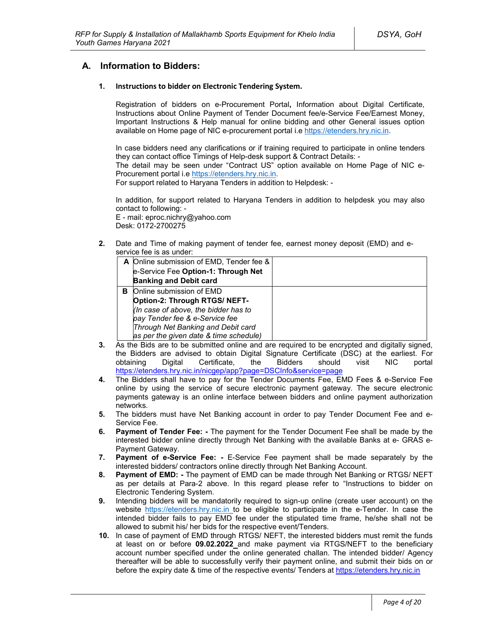# **A. Information to Bidders:**

### **1. Instructions to bidder on Electronic Tendering System.**

Registration of bidders on e-Procurement Portal**,** Information about Digital Certificate, Instructions about Online Payment of Tender Document fee/e-Service Fee/Earnest Money, Important Instructions & Help manual for online bidding and other General issues option available on Home page of NIC e-procurement portal i.e https://etenders.hry.nic.in.

In case bidders need any clarifications or if training required to participate in online tenders they can contact office Timings of Help-desk support & Contract Details: -

The detail may be seen under "Contract US" option available on Home Page of NIC e-Procurement portal i.e https://etenders.hry.nic.in.

For support related to Haryana Tenders in addition to Helpdesk: -

In addition, for support related to Haryana Tenders in addition to helpdesk you may also contact to following: -

E - mail: eproc.nichry@yahoo.com Desk: 0172-2700275

**2.** Date and Time of making payment of tender fee, earnest money deposit (EMD) and eservice fee is as under:

|   | A Online submission of EMD, Tender fee & |  |
|---|------------------------------------------|--|
|   | e-Service Fee Option-1: Through Net      |  |
|   | <b>Banking and Debit card</b>            |  |
| в | Online submission of EMD                 |  |
|   | Option-2: Through RTGS/ NEFT-            |  |
|   | (In case of above, the bidder has to     |  |
|   | pay Tender fee & e-Service fee           |  |
|   | Through Net Banking and Debit card       |  |
|   | as per the given date & time schedule)   |  |

- **3.** As the Bids are to be submitted online and are required to be encrypted and digitally signed, the Bidders are advised to obtain Digital Signature Certificate (DSC) at the earliest. For obtaining Digital Certificate, the Bidders should visit NIC portal https://etenders.hry.nic.in/nicgep/app?page=DSCInfo&service=page
- **4.** The Bidders shall have to pay for the Tender Documents Fee, EMD Fees & e-Service Fee online by using the service of secure electronic payment gateway. The secure electronic payments gateway is an online interface between bidders and online payment authorization networks.
- **5.** The bidders must have Net Banking account in order to pay Tender Document Fee and e-Service Fee.
- **6. Payment of Tender Fee: -** The payment for the Tender Document Fee shall be made by the interested bidder online directly through Net Banking with the available Banks at e- GRAS e-Payment Gateway.
- **7. Payment of e-Service Fee: -** E-Service Fee payment shall be made separately by the interested bidders/ contractors online directly through Net Banking Account.
- **8. Payment of EMD: -** The payment of EMD can be made through Net Banking or RTGS/ NEFT as per details at Para-2 above. In this regard please refer to "Instructions to bidder on Electronic Tendering System.
- **9.** Intending bidders will be mandatorily required to sign-up online (create user account) on the website https://etenders.hry.nic.in to be eligible to participate in the e-Tender. In case the intended bidder fails to pay EMD fee under the stipulated time frame, he/she shall not be allowed to submit his/ her bids for the respective event/Tenders.
- **10.** In case of payment of EMD through RTGS/ NEFT, the interested bidders must remit the funds at least on or before **09.02.2022** and make payment via RTGS/NEFT to the beneficiary account number specified under the online generated challan. The intended bidder/ Agency thereafter will be able to successfully verify their payment online, and submit their bids on or before the expiry date & time of the respective events/ Tenders at https://etenders.hry.nic.in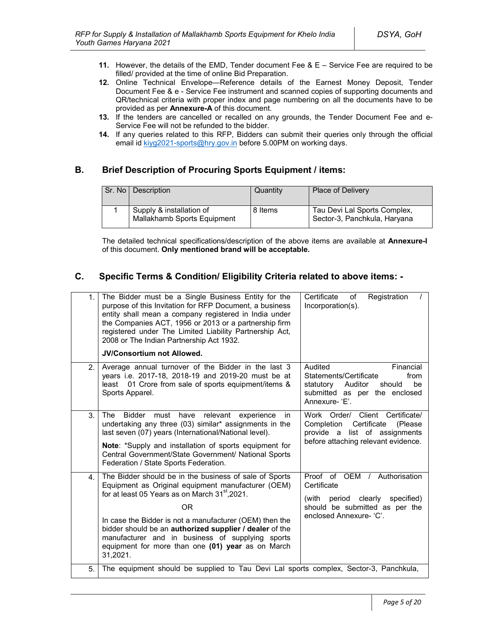- **11.** However, the details of the EMD, Tender document Fee & E Service Fee are required to be filled/ provided at the time of online Bid Preparation.
- **12.** Online Technical Envelope—Reference details of the Earnest Money Deposit, Tender Document Fee & e - Service Fee instrument and scanned copies of supporting documents and QR/technical criteria with proper index and page numbering on all the documents have to be provided as per **Annexure-A** of this document.
- **13.** If the tenders are cancelled or recalled on any grounds, the Tender Document Fee and e-Service Fee will not be refunded to the bidder.
- **14.** If any queries related to this RFP, Bidders can submit their queries only through the official email id kiyg2021-sports@hry.gov.in before 5.00PM on working days.

# **B. Brief Description of Procuring Sports Equipment / items:**

| Sr. No   Description                                    | Quantity | Place of Delivery                                            |
|---------------------------------------------------------|----------|--------------------------------------------------------------|
| Supply & installation of<br>Mallakhamb Sports Equipment | 8 Items  | Tau Devi Lal Sports Complex,<br>Sector-3, Panchkula, Haryana |

The detailed technical specifications/description of the above items are available at **Annexure-I** of this document. **Only mentioned brand will be acceptable.**

# **C. Specific Terms & Condition/ Eligibility Criteria related to above items: -**

| 1.             | The Bidder must be a Single Business Entity for the<br>purpose of this Invitation for RFP Document, a business<br>entity shall mean a company registered in India under<br>the Companies ACT, 1956 or 2013 or a partnership firm<br>registered under The Limited Liability Partnership Act,<br>2008 or The Indian Partnership Act 1932.<br><b>JV/Consortium not Allowed.</b>                                                | Certificate<br>Registration<br>of<br>Incorporation(s).                                                                                               |
|----------------|-----------------------------------------------------------------------------------------------------------------------------------------------------------------------------------------------------------------------------------------------------------------------------------------------------------------------------------------------------------------------------------------------------------------------------|------------------------------------------------------------------------------------------------------------------------------------------------------|
| 2 <sub>1</sub> | Average annual turnover of the Bidder in the last 3<br>years i.e. 2017-18, 2018-19 and 2019-20 must be at<br>01 Crore from sale of sports equipment/items &<br>least<br>Sports Apparel.                                                                                                                                                                                                                                     | Audited<br>Financial<br>Statements/Certificate<br>from<br>be<br>statutory<br>Auditor<br>should<br>submitted as per the enclosed<br>Annexure-'E'.     |
| 3.             | <b>The</b><br><b>Bidder</b><br>must<br>have<br>relevant<br>experience<br>in.<br>undertaking any three (03) similar* assignments in the<br>last seven (07) years (International/National level).<br>Note: *Supply and installation of sports equipment for<br>Central Government/State Government/ National Sports<br>Federation / State Sports Federation.                                                                  | Work Order/ Client Certificate/<br>Certificate<br>Completion<br>(Please)<br>provide a list of assignments<br>before attaching relevant evidence.     |
| 4.             | The Bidder should be in the business of sale of Sports<br>Equipment as Original equipment manufacturer (OEM)<br>for at least 05 Years as on March 31 <sup>st</sup> , 2021.<br>ΟR<br>In case the Bidder is not a manufacturer (OEM) then the<br>bidder should be an authorized supplier / dealer of the<br>manufacturer and in business of supplying sports<br>equipment for more than one (01) year as on March<br>31,2021. | Proof of OEM / Authorisation<br>Certificate<br>clearly<br>specified)<br>(with<br>period<br>should be submitted as per the<br>enclosed Annexure- 'C'. |
| 5.             | The equipment should be supplied to Tau Devi Lal sports complex, Sector-3, Panchkula,                                                                                                                                                                                                                                                                                                                                       |                                                                                                                                                      |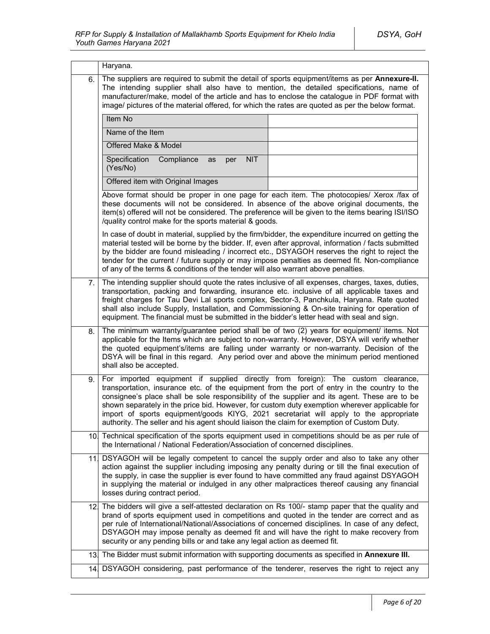|     | Haryana.                                                                                                                                                                                                                                                                                                                                                                                                                                                                                                                                                                  |  |  |  |  |
|-----|---------------------------------------------------------------------------------------------------------------------------------------------------------------------------------------------------------------------------------------------------------------------------------------------------------------------------------------------------------------------------------------------------------------------------------------------------------------------------------------------------------------------------------------------------------------------------|--|--|--|--|
| 6.  | The suppliers are required to submit the detail of sports equipment/items as per Annexure-II.<br>The intending supplier shall also have to mention, the detailed specifications, name of<br>manufacturer/make, model of the article and has to enclose the catalogue in PDF format with<br>image/ pictures of the material offered, for which the rates are quoted as per the below format.                                                                                                                                                                               |  |  |  |  |
|     | Item No                                                                                                                                                                                                                                                                                                                                                                                                                                                                                                                                                                   |  |  |  |  |
|     | Name of the Item                                                                                                                                                                                                                                                                                                                                                                                                                                                                                                                                                          |  |  |  |  |
|     | Offered Make & Model                                                                                                                                                                                                                                                                                                                                                                                                                                                                                                                                                      |  |  |  |  |
|     | Specification<br>Compliance<br><b>NIT</b><br>as<br>per<br>(Yes/No)                                                                                                                                                                                                                                                                                                                                                                                                                                                                                                        |  |  |  |  |
|     | Offered item with Original Images                                                                                                                                                                                                                                                                                                                                                                                                                                                                                                                                         |  |  |  |  |
|     | Above format should be proper in one page for each item. The photocopies/ Xerox /fax of<br>these documents will not be considered. In absence of the above original documents, the<br>item(s) offered will not be considered. The preference will be given to the items bearing ISI/ISO<br>/quality control make for the sports material & goods.                                                                                                                                                                                                                         |  |  |  |  |
|     | In case of doubt in material, supplied by the firm/bidder, the expenditure incurred on getting the<br>material tested will be borne by the bidder. If, even after approval, information / facts submitted<br>by the bidder are found misleading / incorrect etc., DSYAGOH reserves the right to reject the<br>tender for the current / future supply or may impose penalties as deemed fit. Non-compliance<br>of any of the terms & conditions of the tender will also warrant above penalties.                                                                           |  |  |  |  |
| 7.  | The intending supplier should quote the rates inclusive of all expenses, charges, taxes, duties,<br>transportation, packing and forwarding, insurance etc. inclusive of all applicable taxes and<br>freight charges for Tau Devi Lal sports complex, Sector-3, Panchkula, Haryana. Rate quoted<br>shall also include Supply, Installation, and Commissioning & On-site training for operation of<br>equipment. The financial must be submitted in the bidder's letter head with seal and sign.                                                                            |  |  |  |  |
| 8.  | The minimum warranty/guarantee period shall be of two (2) years for equipment/ items. Not<br>applicable for the Items which are subject to non-warranty. However, DSYA will verify whether<br>the quoted equipment's/items are falling under warranty or non-warranty. Decision of the<br>DSYA will be final in this regard. Any period over and above the minimum period mentioned<br>shall also be accepted.                                                                                                                                                            |  |  |  |  |
| 9.  | For imported equipment if supplied directly from foreign): The custom clearance,<br>transportation, insurance etc. of the equipment from the port of entry in the country to the<br>consignee's place shall be sole responsibility of the supplier and its agent. These are to be<br>shown separately in the price bid. However, for custom duty exemption wherever applicable for<br>import of sports equipment/goods KIYG, 2021 secretariat will apply to the appropriate<br>authority. The seller and his agent should liaison the claim for exemption of Custom Duty. |  |  |  |  |
| 10. | Technical specification of the sports equipment used in competitions should be as per rule of<br>the International / National Federation/Association of concerned disciplines.                                                                                                                                                                                                                                                                                                                                                                                            |  |  |  |  |
| 111 | DSYAGOH will be legally competent to cancel the supply order and also to take any other<br>action against the supplier including imposing any penalty during or till the final execution of<br>the supply, in case the supplier is ever found to have committed any fraud against DSYAGOH<br>in supplying the material or indulged in any other malpractices thereof causing any financial<br>losses during contract period.                                                                                                                                              |  |  |  |  |
|     | 12. The bidders will give a self-attested declaration on Rs 100/- stamp paper that the quality and<br>brand of sports equipment used in competitions and quoted in the tender are correct and as<br>per rule of International/National/Associations of concerned disciplines. In case of any defect,<br>DSYAGOH may impose penalty as deemed fit and will have the right to make recovery from<br>security or any pending bills or and take any legal action as deemed fit.                                                                                               |  |  |  |  |
| 13. | The Bidder must submit information with supporting documents as specified in Annexure III.                                                                                                                                                                                                                                                                                                                                                                                                                                                                                |  |  |  |  |
|     | 14. DSYAGOH considering, past performance of the tenderer, reserves the right to reject any                                                                                                                                                                                                                                                                                                                                                                                                                                                                               |  |  |  |  |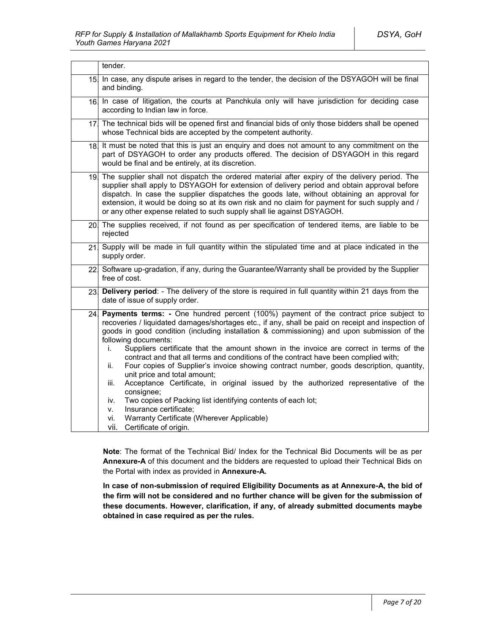|                 | tender.                                                                                                                                                                                                                                                                                                                                                                                                                                                                                                                                                                                                                                                                                                                                                                                                                                                                                                                                                      |  |  |
|-----------------|--------------------------------------------------------------------------------------------------------------------------------------------------------------------------------------------------------------------------------------------------------------------------------------------------------------------------------------------------------------------------------------------------------------------------------------------------------------------------------------------------------------------------------------------------------------------------------------------------------------------------------------------------------------------------------------------------------------------------------------------------------------------------------------------------------------------------------------------------------------------------------------------------------------------------------------------------------------|--|--|
| 15.             | In case, any dispute arises in regard to the tender, the decision of the DSYAGOH will be final<br>and binding.                                                                                                                                                                                                                                                                                                                                                                                                                                                                                                                                                                                                                                                                                                                                                                                                                                               |  |  |
| 16.             | In case of litigation, the courts at Panchkula only will have jurisdiction for deciding case<br>according to Indian law in force.                                                                                                                                                                                                                                                                                                                                                                                                                                                                                                                                                                                                                                                                                                                                                                                                                            |  |  |
| 17.             | The technical bids will be opened first and financial bids of only those bidders shall be opened<br>whose Technical bids are accepted by the competent authority.                                                                                                                                                                                                                                                                                                                                                                                                                                                                                                                                                                                                                                                                                                                                                                                            |  |  |
| 18 <sub>1</sub> | It must be noted that this is just an enquiry and does not amount to any commitment on the<br>part of DSYAGOH to order any products offered. The decision of DSYAGOH in this regard<br>would be final and be entirely, at its discretion.                                                                                                                                                                                                                                                                                                                                                                                                                                                                                                                                                                                                                                                                                                                    |  |  |
| 19.             | The supplier shall not dispatch the ordered material after expiry of the delivery period. The<br>supplier shall apply to DSYAGOH for extension of delivery period and obtain approval before<br>dispatch. In case the supplier dispatches the goods late, without obtaining an approval for<br>extension, it would be doing so at its own risk and no claim for payment for such supply and /<br>or any other expense related to such supply shall lie against DSYAGOH.                                                                                                                                                                                                                                                                                                                                                                                                                                                                                      |  |  |
| 20.             | The supplies received, if not found as per specification of tendered items, are liable to be<br>rejected                                                                                                                                                                                                                                                                                                                                                                                                                                                                                                                                                                                                                                                                                                                                                                                                                                                     |  |  |
| 21              | Supply will be made in full quantity within the stipulated time and at place indicated in the<br>supply order.                                                                                                                                                                                                                                                                                                                                                                                                                                                                                                                                                                                                                                                                                                                                                                                                                                               |  |  |
|                 | 22 Software up-gradation, if any, during the Guarantee/Warranty shall be provided by the Supplier<br>free of cost.                                                                                                                                                                                                                                                                                                                                                                                                                                                                                                                                                                                                                                                                                                                                                                                                                                           |  |  |
| <b>23</b>       | Delivery period: - The delivery of the store is required in full quantity within 21 days from the<br>date of issue of supply order.                                                                                                                                                                                                                                                                                                                                                                                                                                                                                                                                                                                                                                                                                                                                                                                                                          |  |  |
| 24.             | <b>Payments terms:</b> - One hundred percent (100%) payment of the contract price subject to<br>recoveries / liquidated damages/shortages etc., if any, shall be paid on receipt and inspection of<br>goods in good condition (including installation & commissioning) and upon submission of the<br>following documents:<br>Suppliers certificate that the amount shown in the invoice are correct in terms of the<br>i.<br>contract and that all terms and conditions of the contract have been complied with;<br>Four copies of Supplier's invoice showing contract number, goods description, quantity,<br>ii.<br>unit price and total amount;<br>Acceptance Certificate, in original issued by the authorized representative of the<br>iii.<br>consignee;<br>Two copies of Packing list identifying contents of each lot;<br>iv.<br>Insurance certificate;<br>V.<br>Warranty Certificate (Wherever Applicable)<br>vi.<br>vii.<br>Certificate of origin. |  |  |

**Note**: The format of the Technical Bid/ Index for the Technical Bid Documents will be as per **Annexure-A** of this document and the bidders are requested to upload their Technical Bids on the Portal with index as provided in **Annexure-A.**

**In case of non-submission of required Eligibility Documents as at Annexure-A, the bid of the firm will not be considered and no further chance will be given for the submission of these documents. However, clarification, if any, of already submitted documents maybe obtained in case required as per the rules.**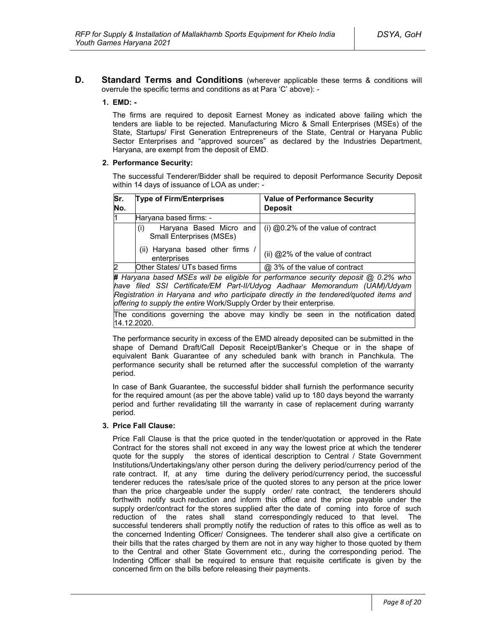**D. Standard Terms and Conditions** (wherever applicable these terms & conditions will overrule the specific terms and conditions as at Para 'C' above): -

### **1. EMD: -**

The firms are required to deposit Earnest Money as indicated above failing which the tenders are liable to be rejected. Manufacturing Micro & Small Enterprises (MSEs) of the State, Startups/ First Generation Entrepreneurs of the State, Central or Haryana Public Sector Enterprises and "approved sources" as declared by the Industries Department, Haryana, are exempt from the deposit of EMD.

### **2. Performance Security:**

The successful Tenderer/Bidder shall be required to deposit Performance Security Deposit within 14 days of issuance of LOA as under: -

| Sr.            | <b>Type of Firm/Enterprises</b>                                   | <b>Value of Performance Security</b>                                              |
|----------------|-------------------------------------------------------------------|-----------------------------------------------------------------------------------|
| No.            |                                                                   | <b>Deposit</b>                                                                    |
| 11             | Haryana based firms: -                                            |                                                                                   |
|                | Haryana Based Micro and<br>(i)<br><b>Small Enterprises (MSEs)</b> | (i) $@0.2\%$ of the value of contract                                             |
|                | (ii) Haryana based other firms /<br>enterprises                   | (ii) @2% of the value of contract                                                 |
| $\overline{2}$ | Other States/ UTs based firms                                     | @ 3% of the value of contract                                                     |
|                |                                                                   | # Haryana based MSEs will be eligible for performance security deposit @ 0.2% who |

*have filed SSI Certificate/EM Part-II/Udyog Aadhaar Memorandum (UAM)/Udyam Registration in Haryana and who participate directly in the tendered/quoted items and offering to supply the entire* Work/Supply Order by their enterprise*.*

The conditions governing the above may kindly be seen in the notification dated 14.12.2020.

The performance security in excess of the EMD already deposited can be submitted in the shape of Demand Draft/Call Deposit Receipt/Banker's Cheque or in the shape of equivalent Bank Guarantee of any scheduled bank with branch in Panchkula. The performance security shall be returned after the successful completion of the warranty period.

In case of Bank Guarantee, the successful bidder shall furnish the performance security for the required amount (as per the above table) valid up to 180 days beyond the warranty period and further revalidating till the warranty in case of replacement during warranty period.

#### **3. Price Fall Clause:**

Price Fall Clause is that the price quoted in the tender/quotation or approved in the Rate Contract for the stores shall not exceed in any way the lowest price at which the tenderer quote for the supply the stores of identical description to Central / State Government Institutions/Undertakings/any other person during the delivery period/currency period of the rate contract. If, at any time during the delivery period/currency period, the successful tenderer reduces the rates/sale price of the quoted stores to any person at the price lower than the price chargeable under the supply order/ rate contract, the tenderers should forthwith notify such reduction and inform this office and the price payable under the supply order/contract for the stores supplied after the date of coming into force of such reduction of the rates shall stand correspondingly reduced to that level. The successful tenderers shall promptly notify the reduction of rates to this office as well as to the concerned Indenting Officer/ Consignees. The tenderer shall also give a certificate on their bills that the rates charged by them are not in any way higher to those quoted by them to the Central and other State Government etc., during the corresponding period. The Indenting Officer shall be required to ensure that requisite certificate is given by the concerned firm on the bills before releasing their payments.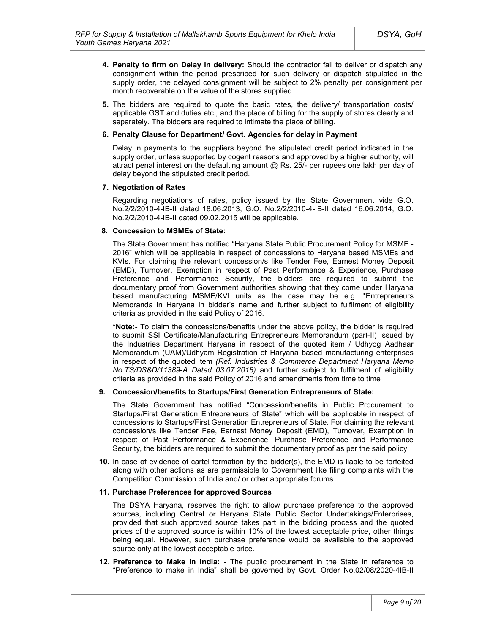- **4. Penalty to firm on Delay in delivery:** Should the contractor fail to deliver or dispatch any consignment within the period prescribed for such delivery or dispatch stipulated in the supply order, the delayed consignment will be subject to 2% penalty per consignment per month recoverable on the value of the stores supplied.
- **5.** The bidders are required to quote the basic rates, the delivery/ transportation costs/ applicable GST and duties etc., and the place of billing for the supply of stores clearly and separately. The bidders are required to intimate the place of billing.

### **6. Penalty Clause for Department/ Govt. Agencies for delay in Payment**

Delay in payments to the suppliers beyond the stipulated credit period indicated in the supply order, unless supported by cogent reasons and approved by a higher authority, will attract penal interest on the defaulting amount @ Rs. 25/- per rupees one lakh per day of delay beyond the stipulated credit period.

### **7. Negotiation of Rates**

Regarding negotiations of rates, policy issued by the State Government vide G.O. No.2/2/2010-4-IB-II dated 18.06.2013, G.O. No.2/2/2010-4-IB-II dated 16.06.2014, G.O. No.2/2/2010-4-IB-II dated 09.02.2015 will be applicable.

### **8. Concession to MSMEs of State:**

The State Government has notified "Haryana State Public Procurement Policy for MSME - 2016" which will be applicable in respect of concessions to Haryana based MSMEs and KVIs. For claiming the relevant concession/s like Tender Fee, Earnest Money Deposit (EMD), Turnover, Exemption in respect of Past Performance & Experience, Purchase Preference and Performance Security, the bidders are required to submit the documentary proof from Government authorities showing that they come under Haryana based manufacturing MSME/KVI units as the case may be e.g. **\***Entrepreneurs Memoranda in Haryana in bidder's name and further subject to fulfilment of eligibility criteria as provided in the said Policy of 2016.

**\*Note:-** To claim the concessions/benefits under the above policy, the bidder is required to submit SSI Certificate/Manufacturing Entrepreneurs Memorandum (part-II) issued by the Industries Department Haryana in respect of the quoted item / Udhyog Aadhaar Memorandum (UAM)/Udhyam Registration of Haryana based manufacturing enterprises in respect of the quoted item *(Ref. Industries & Commerce Department Haryana Memo No.TS/DS&D/11389-A Dated 03.07.2018)* and further subject to fulfilment of eligibility criteria as provided in the said Policy of 2016 and amendments from time to time

### **9. Concession/benefits to Startups/First Generation Entrepreneurs of State:**

The State Government has notified "Concession/benefits in Public Procurement to Startups/First Generation Entrepreneurs of State" which will be applicable in respect of concessions to Startups/First Generation Entrepreneurs of State. For claiming the relevant concession/s like Tender Fee, Earnest Money Deposit (EMD), Turnover, Exemption in respect of Past Performance & Experience, Purchase Preference and Performance Security, the bidders are required to submit the documentary proof as per the said policy.

**10.** In case of evidence of cartel formation by the bidder(s), the EMD is liable to be forfeited along with other actions as are permissible to Government like filing complaints with the Competition Commission of India and/ or other appropriate forums.

#### **11. Purchase Preferences for approved Sources**

The DSYA Haryana, reserves the right to allow purchase preference to the approved sources, including Central or Haryana State Public Sector Undertakings/Enterprises, provided that such approved source takes part in the bidding process and the quoted prices of the approved source is within 10% of the lowest acceptable price, other things being equal. However, such purchase preference would be available to the approved source only at the lowest acceptable price.

**12. Preference to Make in India: -** The public procurement in the State in reference to "Preference to make in India" shall be governed by Govt. Order No.02/08/2020-4IB-II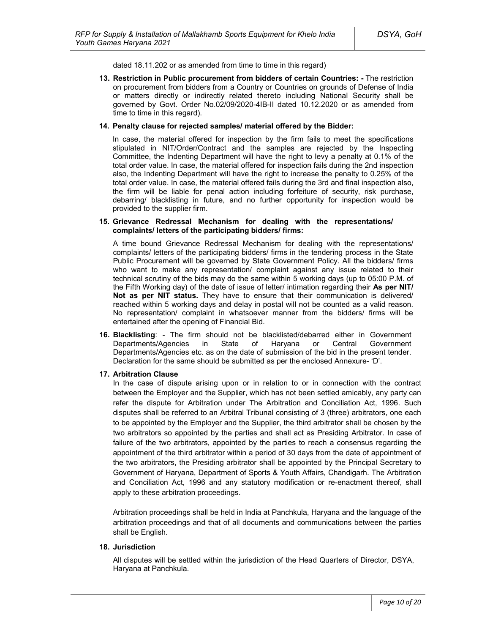dated 18.11.202 or as amended from time to time in this regard)

**13. Restriction in Public procurement from bidders of certain Countries: -** The restriction on procurement from bidders from a Country or Countries on grounds of Defense of India or matters directly or indirectly related thereto including National Security shall be governed by Govt. Order No.02/09/2020-4IB-II dated 10.12.2020 or as amended from time to time in this regard).

#### **14. Penalty clause for rejected samples/ material offered by the Bidder:**

In case, the material offered for inspection by the firm fails to meet the specifications stipulated in NIT/Order/Contract and the samples are rejected by the Inspecting Committee, the Indenting Department will have the right to levy a penalty at 0.1% of the total order value. In case, the material offered for inspection fails during the 2nd inspection also, the Indenting Department will have the right to increase the penalty to 0.25% of the total order value. In case, the material offered fails during the 3rd and final inspection also, the firm will be liable for penal action including forfeiture of security, risk purchase, debarring/ blacklisting in future, and no further opportunity for inspection would be provided to the supplier firm.

#### **15. Grievance Redressal Mechanism for dealing with the representations/ complaints/ letters of the participating bidders/ firms:**

A time bound Grievance Redressal Mechanism for dealing with the representations/ complaints/ letters of the participating bidders/ firms in the tendering process in the State Public Procurement will be governed by State Government Policy. All the bidders/ firms who want to make any representation/ complaint against any issue related to their technical scrutiny of the bids may do the same within 5 working days (up to 05:00 P.M. of the Fifth Working day) of the date of issue of letter/ intimation regarding their **As per NIT/ Not as per NIT status.** They have to ensure that their communication is delivered/ reached within 5 working days and delay in postal will not be counted as a valid reason. No representation/ complaint in whatsoever manner from the bidders/ firms will be entertained after the opening of Financial Bid.

**16. Blacklisting**: - The firm should not be blacklisted/debarred either in Government Departments/Agencies in State of Haryana or Central Government Departments/Agencies etc. as on the date of submission of the bid in the present tender. Declaration for the same should be submitted as per the enclosed Annexure- 'D'.

#### **17. Arbitration Clause**

In the case of dispute arising upon or in relation to or in connection with the contract between the Employer and the Supplier, which has not been settled amicably, any party can refer the dispute for Arbitration under The Arbitration and Conciliation Act, 1996. Such disputes shall be referred to an Arbitral Tribunal consisting of 3 (three) arbitrators, one each to be appointed by the Employer and the Supplier, the third arbitrator shall be chosen by the two arbitrators so appointed by the parties and shall act as Presiding Arbitrator. In case of failure of the two arbitrators, appointed by the parties to reach a consensus regarding the appointment of the third arbitrator within a period of 30 days from the date of appointment of the two arbitrators, the Presiding arbitrator shall be appointed by the Principal Secretary to Government of Haryana, Department of Sports & Youth Affairs, Chandigarh. The Arbitration and Conciliation Act, 1996 and any statutory modification or re-enactment thereof, shall apply to these arbitration proceedings.

Arbitration proceedings shall be held in India at Panchkula, Haryana and the language of the arbitration proceedings and that of all documents and communications between the parties shall be English.

### **18. Jurisdiction**

All disputes will be settled within the jurisdiction of the Head Quarters of Director, DSYA, Haryana at Panchkula.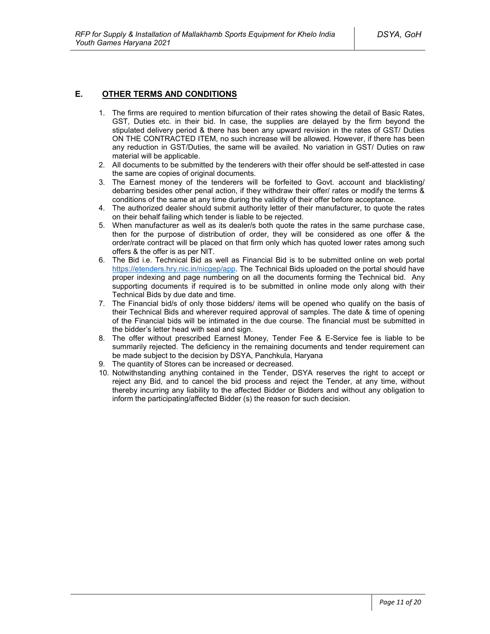# **E. OTHER TERMS AND CONDITIONS**

- 1. The firms are required to mention bifurcation of their rates showing the detail of Basic Rates, GST, Duties etc. in their bid. In case, the supplies are delayed by the firm beyond the stipulated delivery period & there has been any upward revision in the rates of GST/ Duties ON THE CONTRACTED ITEM, no such increase will be allowed. However, if there has been any reduction in GST/Duties, the same will be availed. No variation in GST/ Duties on raw material will be applicable.
- 2. All documents to be submitted by the tenderers with their offer should be self-attested in case the same are copies of original documents.
- 3. The Earnest money of the tenderers will be forfeited to Govt. account and blacklisting/ debarring besides other penal action, if they withdraw their offer/ rates or modify the terms & conditions of the same at any time during the validity of their offer before acceptance.
- 4. The authorized dealer should submit authority letter of their manufacturer, to quote the rates on their behalf failing which tender is liable to be rejected.
- 5. When manufacturer as well as its dealer/s both quote the rates in the same purchase case, then for the purpose of distribution of order, they will be considered as one offer & the order/rate contract will be placed on that firm only which has quoted lower rates among such offers & the offer is as per NIT.
- 6. The Bid i.e. Technical Bid as well as Financial Bid is to be submitted online on web portal https://etenders.hry.nic.in/nicgep/app. The Technical Bids uploaded on the portal should have proper indexing and page numbering on all the documents forming the Technical bid. Any supporting documents if required is to be submitted in online mode only along with their Technical Bids by due date and time.
- 7. The Financial bid/s of only those bidders/ items will be opened who qualify on the basis of their Technical Bids and wherever required approval of samples. The date & time of opening of the Financial bids will be intimated in the due course. The financial must be submitted in the bidder's letter head with seal and sign.
- 8. The offer without prescribed Earnest Money, Tender Fee & E-Service fee is liable to be summarily rejected. The deficiency in the remaining documents and tender requirement can be made subject to the decision by DSYA, Panchkula, Haryana
- 9. The quantity of Stores can be increased or decreased.
- 10. Notwithstanding anything contained in the Tender, DSYA reserves the right to accept or reject any Bid, and to cancel the bid process and reject the Tender, at any time, without thereby incurring any liability to the affected Bidder or Bidders and without any obligation to inform the participating/affected Bidder (s) the reason for such decision.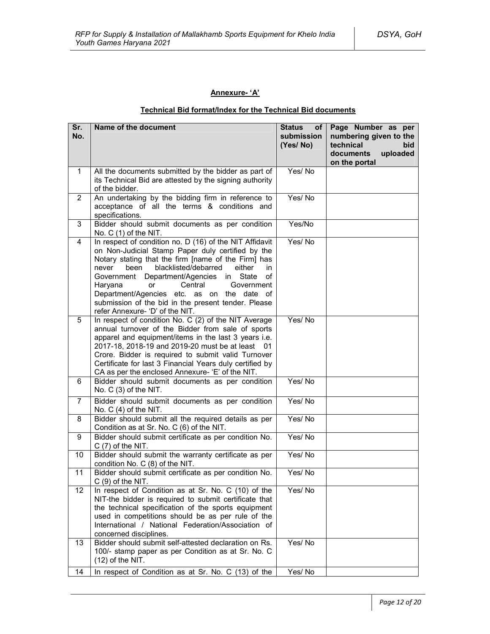# **Annexure- 'A'**

# **Technical Bid format/Index for the Technical Bid documents**

| Sr.<br>No.     | Name of the document                                                                                                                                                                                                                                                                                                                                                                                                                                               | <b>Status</b><br>of l<br>submission<br>(Yes/No) | Page Number as per<br>numbering given to the<br>technical<br>bid<br>documents<br>uploaded<br>on the portal |
|----------------|--------------------------------------------------------------------------------------------------------------------------------------------------------------------------------------------------------------------------------------------------------------------------------------------------------------------------------------------------------------------------------------------------------------------------------------------------------------------|-------------------------------------------------|------------------------------------------------------------------------------------------------------------|
| 1.             | All the documents submitted by the bidder as part of<br>its Technical Bid are attested by the signing authority<br>of the bidder.                                                                                                                                                                                                                                                                                                                                  | Yes/No                                          |                                                                                                            |
| $\overline{2}$ | An undertaking by the bidding firm in reference to<br>acceptance of all the terms & conditions and<br>specifications.                                                                                                                                                                                                                                                                                                                                              | Yes/No                                          |                                                                                                            |
| 3              | Bidder should submit documents as per condition<br>No. $C(1)$ of the NIT.                                                                                                                                                                                                                                                                                                                                                                                          | Yes/No                                          |                                                                                                            |
| 4              | In respect of condition no. D (16) of the NIT Affidavit<br>on Non-Judicial Stamp Paper duly certified by the<br>Notary stating that the firm [name of the Firm] has<br>blacklisted/debarred<br>been<br>either<br>never<br>in<br>Government Department/Agencies<br>in State<br>of<br>Haryana<br>Central<br>Government<br>or<br>Department/Agencies etc. as on the date of<br>submission of the bid in the present tender. Please<br>refer Annexure- 'D' of the NIT. | Yes/No                                          |                                                                                                            |
| 5              | In respect of condition No. C (2) of the NIT Average<br>annual turnover of the Bidder from sale of sports<br>apparel and equipment/items in the last 3 years i.e.<br>2017-18, 2018-19 and 2019-20 must be at least 01<br>Crore. Bidder is required to submit valid Turnover<br>Certificate for last 3 Financial Years duly certified by<br>CA as per the enclosed Annexure- 'E' of the NIT.                                                                        | Yes/No                                          |                                                                                                            |
| 6              | Bidder should submit documents as per condition<br>No. C (3) of the NIT.                                                                                                                                                                                                                                                                                                                                                                                           | Yes/No                                          |                                                                                                            |
| $\overline{7}$ | Bidder should submit documents as per condition<br>No. $C(4)$ of the NIT.                                                                                                                                                                                                                                                                                                                                                                                          | Yes/No                                          |                                                                                                            |
| 8              | Bidder should submit all the required details as per<br>Condition as at Sr. No. C (6) of the NIT.                                                                                                                                                                                                                                                                                                                                                                  | Yes/No                                          |                                                                                                            |
| 9              | Bidder should submit certificate as per condition No.<br>$C(7)$ of the NIT.                                                                                                                                                                                                                                                                                                                                                                                        | Yes/No                                          |                                                                                                            |
| 10             | Bidder should submit the warranty certificate as per<br>condition No. C (8) of the NIT.                                                                                                                                                                                                                                                                                                                                                                            | Yes/No                                          |                                                                                                            |
| 11             | Bidder should submit certificate as per condition No.<br>$C(9)$ of the NIT.                                                                                                                                                                                                                                                                                                                                                                                        | Yes/No                                          |                                                                                                            |
| 12             | In respect of Condition as at Sr. No. C (10) of the<br>NIT-the bidder is required to submit certificate that<br>the technical specification of the sports equipment<br>used in competitions should be as per rule of the<br>International / National Federation/Association of<br>concerned disciplines.                                                                                                                                                           | Yes/No                                          |                                                                                                            |
| 13             | Bidder should submit self-attested declaration on Rs.<br>100/- stamp paper as per Condition as at Sr. No. C<br>$(12)$ of the NIT.                                                                                                                                                                                                                                                                                                                                  | Yes/No                                          |                                                                                                            |
| 14             | In respect of Condition as at Sr. No. C (13) of the                                                                                                                                                                                                                                                                                                                                                                                                                | Yes/No                                          |                                                                                                            |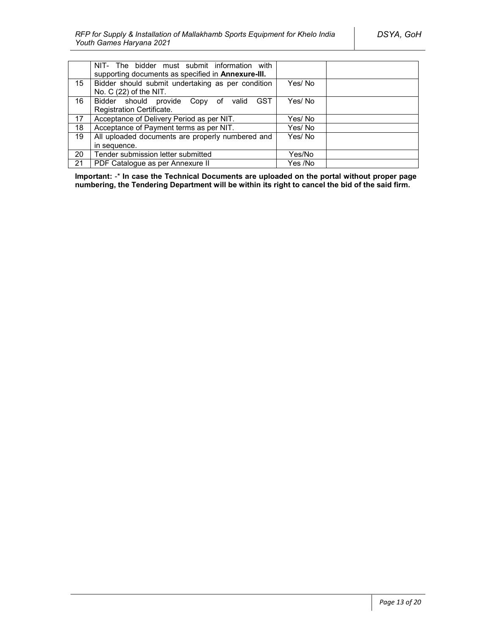|                  | NIT- The bidder must submit information with<br>supporting documents as specified in Annexure-III. |         |
|------------------|----------------------------------------------------------------------------------------------------|---------|
| 15 <sup>15</sup> | Bidder should submit undertaking as per condition<br>No. $C(22)$ of the NIT.                       | Yes/No  |
| 16               | <b>GST</b><br>Bidder should provide Copy of valid                                                  | Yes/No  |
|                  | Registration Certificate.                                                                          |         |
| 17               | Acceptance of Delivery Period as per NIT.                                                          | Yes/ No |
| 18               | Acceptance of Payment terms as per NIT.                                                            | Yes/ No |
| 19               | All uploaded documents are properly numbered and                                                   | Yes/No  |
|                  | in sequence.                                                                                       |         |
| 20               | Tender submission letter submitted                                                                 | Yes/No  |
| 21               | PDF Catalogue as per Annexure II                                                                   | Yes /No |

**Important:** -\* **In case the Technical Documents are uploaded on the portal without proper page numbering, the Tendering Department will be within its right to cancel the bid of the said firm.**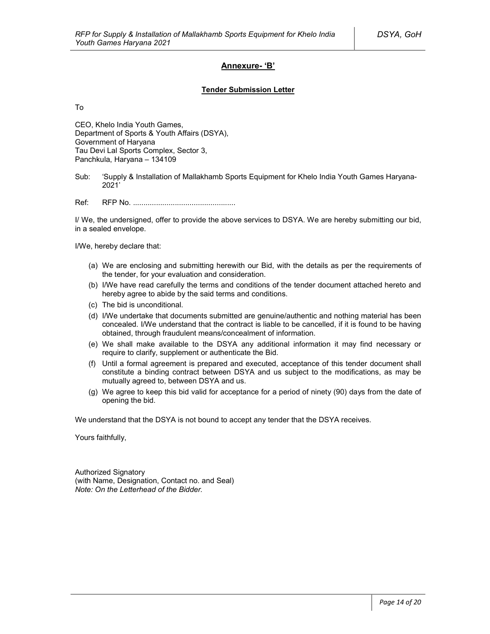### **Annexure- 'B'**

#### **Tender Submission Letter**

To

CEO, Khelo India Youth Games, Department of Sports & Youth Affairs (DSYA), Government of Haryana Tau Devi Lal Sports Complex, Sector 3, Panchkula, Haryana – 134109

Sub: 'Supply & Installation of Mallakhamb Sports Equipment for Khelo India Youth Games Haryana-2021'

Ref: RFP No. .................................................

I/ We, the undersigned, offer to provide the above services to DSYA. We are hereby submitting our bid, in a sealed envelope.

I/We, hereby declare that:

- (a) We are enclosing and submitting herewith our Bid, with the details as per the requirements of the tender, for your evaluation and consideration.
- (b) I/We have read carefully the terms and conditions of the tender document attached hereto and hereby agree to abide by the said terms and conditions.
- (c) The bid is unconditional.
- (d) I/We undertake that documents submitted are genuine/authentic and nothing material has been concealed. I/We understand that the contract is liable to be cancelled, if it is found to be having obtained, through fraudulent means/concealment of information.
- (e) We shall make available to the DSYA any additional information it may find necessary or require to clarify, supplement or authenticate the Bid.
- (f) Until a formal agreement is prepared and executed, acceptance of this tender document shall constitute a binding contract between DSYA and us subject to the modifications, as may be mutually agreed to, between DSYA and us.
- (g) We agree to keep this bid valid for acceptance for a period of ninety (90) days from the date of opening the bid.

We understand that the DSYA is not bound to accept any tender that the DSYA receives.

Yours faithfully,

Authorized Signatory (with Name, Designation, Contact no. and Seal) *Note: On the Letterhead of the Bidder.*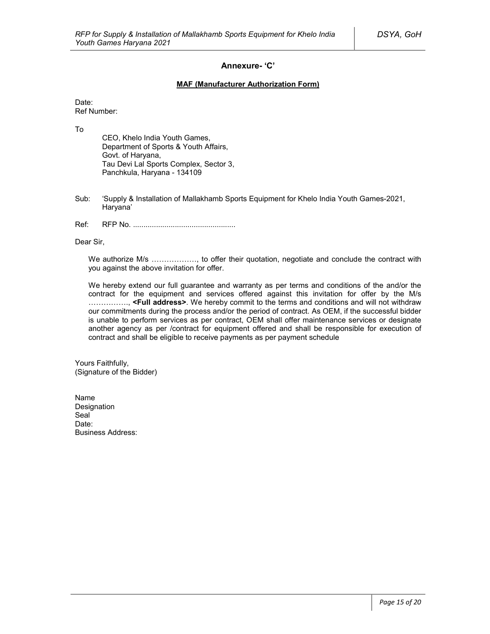### **Annexure- 'C'**

### **MAF (Manufacturer Authorization Form)**

Date: Ref Number:

To

CEO, Khelo India Youth Games, Department of Sports & Youth Affairs, Govt. of Haryana, Tau Devi Lal Sports Complex, Sector 3, Panchkula, Haryana - 134109

- Sub: 'Supply & Installation of Mallakhamb Sports Equipment for Khelo India Youth Games-2021, Haryana'
- Ref: RFP No. .................................................

Dear Sir,

We authorize M/s ................., to offer their quotation, negotiate and conclude the contract with you against the above invitation for offer.

We hereby extend our full guarantee and warranty as per terms and conditions of the and/or the contract for the equipment and services offered against this invitation for offer by the M/s ……………., **<Full address>**. We hereby commit to the terms and conditions and will not withdraw our commitments during the process and/or the period of contract. As OEM, if the successful bidder is unable to perform services as per contract, OEM shall offer maintenance services or designate another agency as per /contract for equipment offered and shall be responsible for execution of contract and shall be eligible to receive payments as per payment schedule

Yours Faithfully, (Signature of the Bidder)

Name Designation Seal<sup>1</sup> Date: Business Address: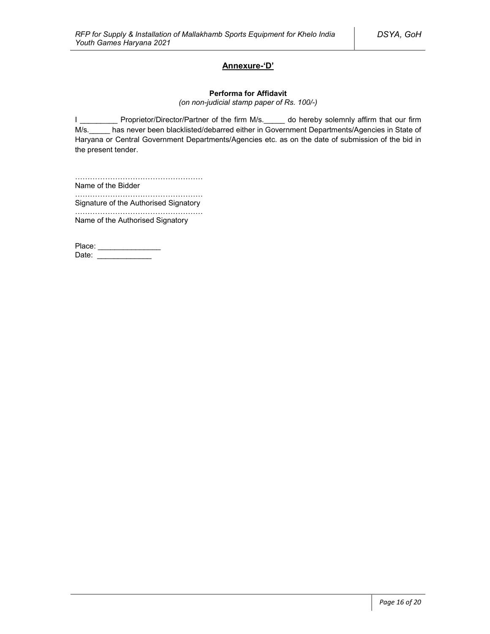# **Annexure-'D'**

#### **Performa for Affidavit**

*(on non-judicial stamp paper of Rs. 100/-)*

I \_\_\_\_\_\_\_\_\_\_ Proprietor/Director/Partner of the firm M/s. \_\_\_\_\_ do hereby solemnly affirm that our firm M/s. has never been blacklisted/debarred either in Government Departments/Agencies in State of Haryana or Central Government Departments/Agencies etc. as on the date of submission of the bid in the present tender.

…………………………………………… Name of the Bidder

…………………………………………………… Signature of the Authorised Signatory

…………………………………………… Name of the Authorised Signatory

Place: \_\_\_\_\_\_\_\_\_\_\_\_\_\_\_\_\_ Date: \_\_\_\_\_\_\_\_\_\_\_\_\_\_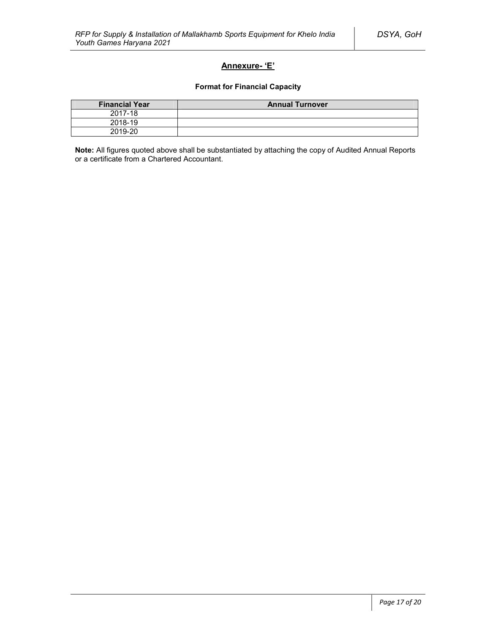# **Annexure- 'E'**

### **Format for Financial Capacity**

| <b>Financial Year</b> | <b>Annual Turnover</b> |
|-----------------------|------------------------|
| 2017-18               |                        |
| 2018-19               |                        |
| 2019-20               |                        |

**Note:** All figures quoted above shall be substantiated by attaching the copy of Audited Annual Reports or a certificate from a Chartered Accountant.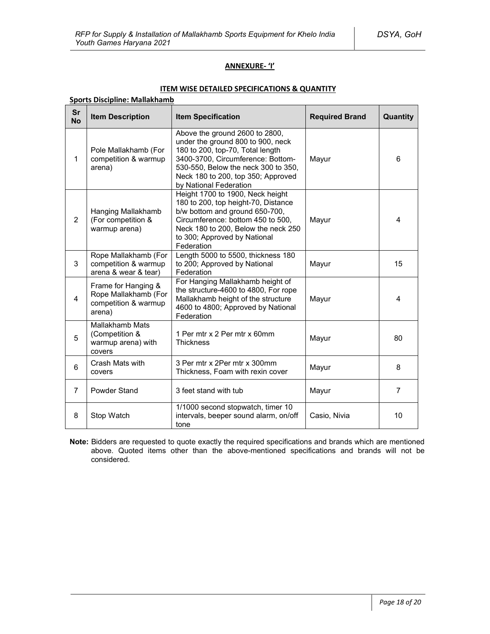# **ANNEXURE- 'I'**

### **ITEM WISE DETAILED SPECIFICATIONS & QUANTITY**

### **Sports Discipline: Mallakhamb**

| Sr<br><b>No</b> | <b>Item Description</b>                                                       | <b>Item Specification</b>                                                                                                                                                                                                                           | <b>Required Brand</b> | Quantity                |
|-----------------|-------------------------------------------------------------------------------|-----------------------------------------------------------------------------------------------------------------------------------------------------------------------------------------------------------------------------------------------------|-----------------------|-------------------------|
| $\mathbf 1$     | Pole Mallakhamb (For<br>competition & warmup<br>arena)                        | Above the ground 2600 to 2800,<br>under the ground 800 to 900, neck<br>180 to 200, top-70, Total length<br>3400-3700, Circumference: Bottom-<br>530-550, Below the neck 300 to 350,<br>Neck 180 to 200, top 350; Approved<br>by National Federation | Mayur                 | 6                       |
| $\overline{2}$  | Hanging Mallakhamb<br>(For competition &<br>warmup arena)                     | Height 1700 to 1900, Neck height<br>180 to 200, top height-70, Distance<br>b/w bottom and ground 650-700,<br>Circumference: bottom 450 to 500,<br>Neck 180 to 200, Below the neck 250<br>to 300; Approved by National<br>Federation                 | Mayur                 | 4                       |
| 3               | Rope Mallakhamb (For<br>competition & warmup<br>arena & wear & tear)          | Length 5000 to 5500, thickness 180<br>to 200; Approved by National<br>Federation                                                                                                                                                                    | Mayur                 | 15                      |
| 4               | Frame for Hanging &<br>Rope Mallakhamb (For<br>competition & warmup<br>arena) | For Hanging Mallakhamb height of<br>the structure-4600 to 4800, For rope<br>Mallakhamb height of the structure<br>4600 to 4800; Approved by National<br>Federation                                                                                  | Mayur                 | $\overline{\mathbf{A}}$ |
| 5               | <b>Mallakhamb Mats</b><br>(Competition &<br>warmup arena) with<br>covers      | 1 Per mtr x 2 Per mtr x 60mm<br><b>Thickness</b>                                                                                                                                                                                                    | Mayur                 | 80                      |
| 6               | Crash Mats with<br>covers                                                     | 3 Per mtr x 2Per mtr x 300mm<br>Thickness, Foam with rexin cover                                                                                                                                                                                    | Mayur                 | 8                       |
| $\overline{7}$  | Powder Stand                                                                  | 3 feet stand with tub                                                                                                                                                                                                                               | Mayur                 | $\overline{7}$          |
| 8               | Stop Watch                                                                    | 1/1000 second stopwatch, timer 10<br>intervals, beeper sound alarm, on/off<br>tone                                                                                                                                                                  | Casio, Nivia          | 10                      |

**Note:** Bidders are requested to quote exactly the required specifications and brands which are mentioned above. Quoted items other than the above-mentioned specifications and brands will not be considered.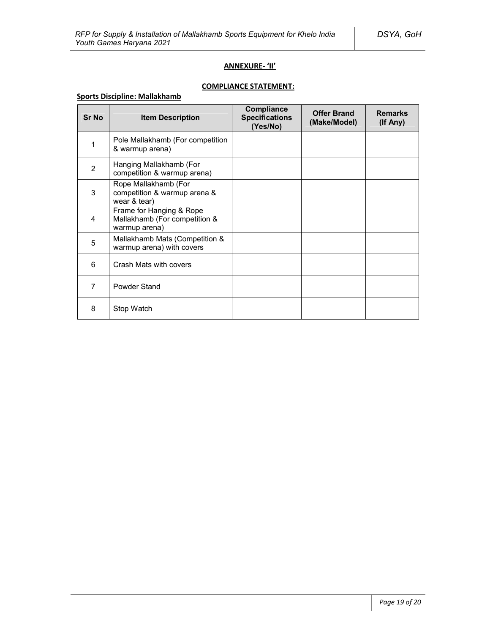# **ANNEXURE- 'II'**

# **COMPLIANCE STATEMENT:**

# **Sports Discipline: Mallakhamb**

| <b>Sr No</b>   | <b>Item Description</b>                                                    | Compliance<br><b>Specifications</b><br>(Yes/No) | <b>Offer Brand</b><br>(Make/Model) | <b>Remarks</b><br>(If Any) |
|----------------|----------------------------------------------------------------------------|-------------------------------------------------|------------------------------------|----------------------------|
| 1              | Pole Mallakhamb (For competition<br>& warmup arena)                        |                                                 |                                    |                            |
| $\overline{2}$ | Hanging Mallakhamb (For<br>competition & warmup arena)                     |                                                 |                                    |                            |
| 3              | Rope Mallakhamb (For<br>competition & warmup arena &<br>wear & tear)       |                                                 |                                    |                            |
| 4              | Frame for Hanging & Rope<br>Mallakhamb (For competition &<br>warmup arena) |                                                 |                                    |                            |
| 5              | Mallakhamb Mats (Competition &<br>warmup arena) with covers                |                                                 |                                    |                            |
| 6              | Crash Mats with covers                                                     |                                                 |                                    |                            |
| $\overline{7}$ | Powder Stand                                                               |                                                 |                                    |                            |
| 8              | Stop Watch                                                                 |                                                 |                                    |                            |